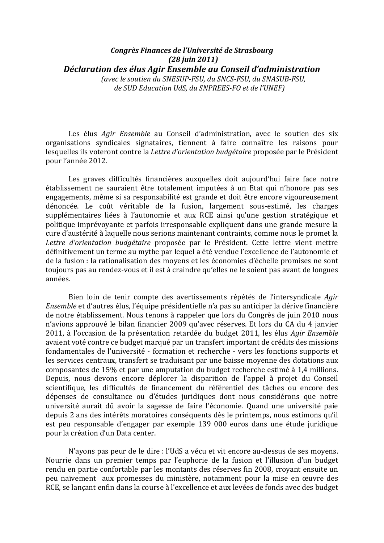## Congrès Finances de l'Université de Strasbourg  $(28 \text{ j} \text{u} \text{in } 2011)$ Déclaration des élus Agir Ensemble au Conseil d'administration

(avec le soutien du SNESUP-FSU, du SNCS-FSU, du SNASUB-FSU, de SUD Education UdS, du SNPREES-FO et de l'UNEF)

Les élus Agir Ensemble au Conseil d'administration, avec le soutien des six organisations syndicales signataires, tiennent à faire connaître les raisons pour lesquelles ils voteront contre la Lettre d'orientation budgétaire proposée par le Président pour l'année 2012.

Les graves difficultés financières auxquelles doit aujourd'hui faire face notre établissement ne sauraient être totalement imputées à un Etat qui n'honore pas ses engagements, même si sa responsabilité est grande et doit être encore vigoureusement dénoncée. Le coût véritable de la fusion, largement sous-estimé, les charges supplémentaires liées à l'autonomie et aux RCE ainsi qu'une gestion stratégique et politique imprévovante et parfois irresponsable expliquent dans une grande mesure la cure d'austérité à laquelle nous serions maintenant contraints, comme nous le promet la Lettre d'orientation budgétaire proposée par le Président. Cette lettre vient mettre définitivement un terme au mythe par lequel a été vendue l'excellence de l'autonomie et de la fusion : la rationalisation des movens et les économies d'échelle promises ne sont toujours pas au rendez-vous et il est à craindre qu'elles ne le soient pas avant de longues années.

Bien loin de tenir compte des avertissements répétés de l'intersyndicale Agir Ensemble et d'autres élus, l'équipe présidentielle n'a pas su anticiper la dérive financière de notre établissement. Nous tenons à rappeler que lors du Congrès de juin 2010 nous n'avions approuvé le bilan financier 2009 qu'avec réserves. Et lors du CA du 4 janvier 2011, à l'occasion de la présentation retardée du budget 2011, les élus Agir Ensemble avaient voté contre ce budget marqué par un transfert important de crédits des missions fondamentales de l'université - formation et recherche - vers les fonctions supports et les services centraux, transfert se traduisant par une baisse movenne des dotations aux composantes de 15% et par une amputation du budget recherche estimé à 1,4 millions. Depuis, nous devons encore déplorer la disparition de l'appel à projet du Conseil scientifique, les difficultés de financement du référentiel des tâches ou encore des dépenses de consultance ou d'études juridiques dont nous considérons que notre université aurait dû avoir la sagesse de faire l'économie. Quand une université paie depuis 2 ans des intérêts moratoires conséquents dès le printemps, nous estimons qu'il est peu responsable d'engager par exemple 139 000 euros dans une étude juridique pour la création d'un Data center.

N'ayons pas peur de le dire : l'UdS a vécu et vit encore au-dessus de ses moyens. Nourrie dans un premier temps par l'euphorie de la fusion et l'illusion d'un budget rendu en partie confortable par les montants des réserves fin 2008, croyant ensuite un peu naïvement aux promesses du ministère, notamment pour la mise en œuvre des RCE, se lançant enfin dans la course à l'excellence et aux levées de fonds avec des budget